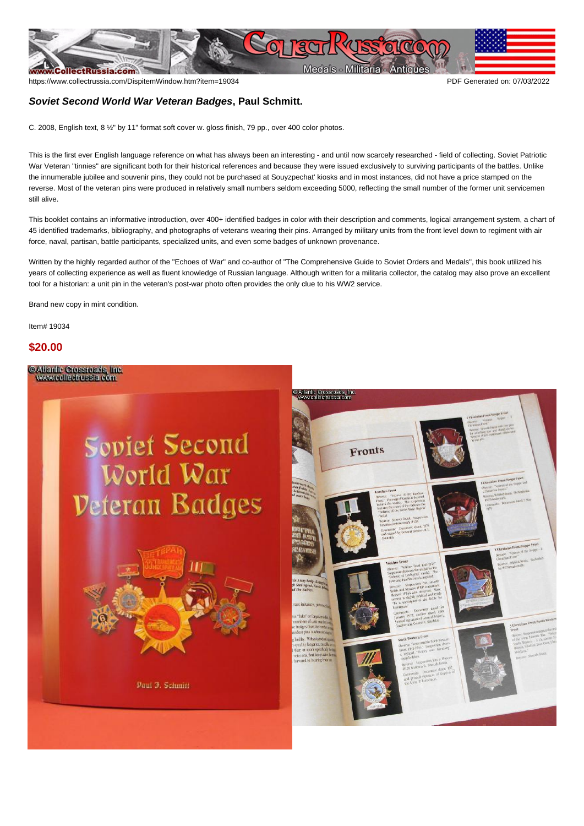

https://www.collectrussia.com/DispitemWindow.htm?item=19034 PDF Generated on: 07/03/2022

## **Soviet Second World War Veteran Badges, Paul Schmitt.**

C. 2008, English text, 8 ½" by 11" format soft cover w. gloss finish, 79 pp., over 400 color photos.

This is the first ever English language reference on what has always been an interesting - and until now scarcely researched - field of collecting. Soviet Patriotic War Veteran "tinnies" are significant both for their historical references and because they were issued exclusively to surviving participants of the battles. Unlike the innumerable jubilee and souvenir pins, they could not be purchased at Souyzpechat' kiosks and in most instances, did not have a price stamped on the reverse. Most of the veteran pins were produced in relatively small numbers seldom exceeding 5000, reflecting the small number of the former unit servicemen still alive.

This booklet contains an informative introduction, over 400+ identified badges in color with their description and comments, logical arrangement system, a chart of 45 identified trademarks, bibliography, and photographs of veterans wearing their pins. Arranged by military units from the front level down to regiment with air force, naval, partisan, battle participants, specialized units, and even some badges of unknown provenance.

Written by the highly regarded author of the "Echoes of War" and co-author of "The Comprehensive Guide to Soviet Orders and Medals", this book utilized his years of collecting experience as well as fluent knowledge of Russian language. Although written for a militaria collector, the catalog may also prove an excellent tool for a historian: a unit pin in the veteran's post-war photo often provides the only clue to his WW2 service.

Brand new copy in mint condition.

Item# 19034

## **\$20.00**

@Atlantic Crossroads, Inc.<br>www.collectrussia.com

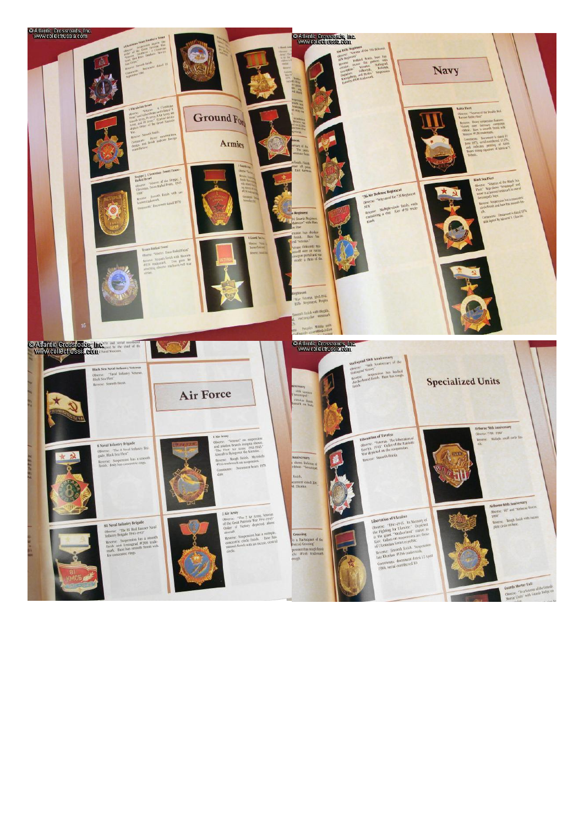